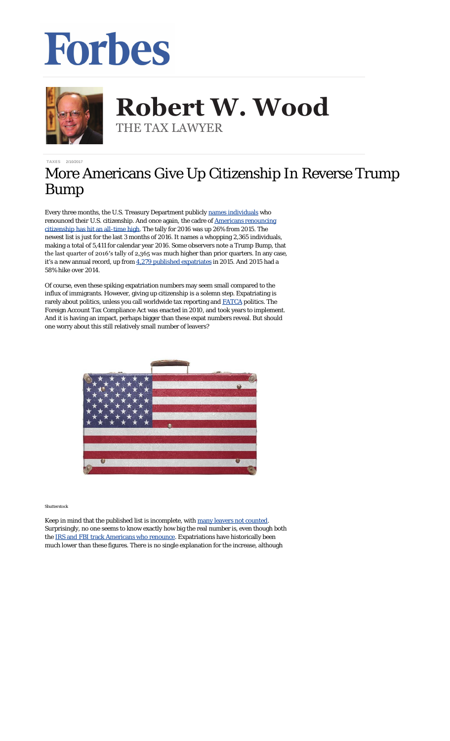## Forbes



**Robert W. Wood Robert W. Wood** THE TAX LAWYER THE TAX LAWYER

[TAXES](http://www.forbes.com/taxes) 2/10/2017

## More Americans Give Up Citizenship In Reverse Trump Bump

Every three months, the U.S. Treasury Department publicly [names individuals](https://s3.amazonaws.com/public-inspection.federalregister.gov/2017-02699.pdf) who renounced their U.S. citizenship. And once again, the cadre of [Americans renouncing](http://taxprof.typepad.com/taxprof_blog/2017/02/number-of-americans-renouncing-their-us-citizenship-hit-all-time-high-in-2016-up-26-from-2015.html) [citizenship has hit an all-time high.](http://taxprof.typepad.com/taxprof_blog/2017/02/number-of-americans-renouncing-their-us-citizenship-hit-all-time-high-in-2016-up-26-from-2015.html) The tally for 2016 was up 26% from 2015. The newest list is just for the last 3 months of 2016. It names a whopping 2,365 individuals, making a total of 5,411 for calendar year 2016. Some observers note a Trump Bump, that the last quarter of 2016′s tally of 2,365 was *much* higher than prior quarters. In any case, it's a new annual record, up from [4,279 published expatriates](http://intltax.typepad.com/intltax_blog/2016/02/new-expatriate-record-2015-nearly-4300-expatriations.html) in 2015. And 2015 had a 58% hike over 2014.

Of course, even these spiking expatriation numbers may seem small compared to the influx of immigrants. However, giving up citizenship is a solemn step. Expatriating is rarely about politics, unless you call worldwide tax reporting and **[FATCA](http://www.irs.gov/businesses/corporations/article/0,,id=236667,00.html)** politics. The Foreign Account Tax Compliance Act was enacted in 2010, and took years to implement. And it is having an impact, perhaps bigger than these expat numbers reveal. But should one worry about this still relatively small number of leavers?



*Shutterstock*

Keep in mind that the published list is incomplete, with [many leavers not](http://www.forbes.com/sites/robertwood/2014/05/03/americans-are-renouncing-citizenship-at-record-pace-and-many-arent-even-counted/) counted. Surprisingly, no one seems to know exactly how big the real number is, even though both the [IRS and FBI track Americans who renounce.](http://www.forbes.com/sites/robertwood/2015/09/21/irs-and-fbi-track-americans-who-renounce-citizenship-why-is-fbi-list-longer/#38baa14c2f84) Expatriations have historically been much lower than these figures. There is no single explanation for the increase, although